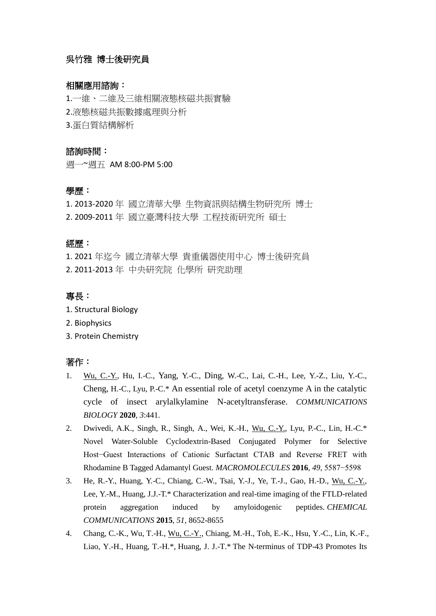# 吳竹雅 博士後研究員

## 相關應用諮詢:

1.一維、二維及三維相關液態核磁共振實驗 2.液態核磁共振數據處理與分析 3.蛋白質結構解析

### 諮詢時間:

週一~週五 AM 8:00-PM 5:00

### 學歷:

1. 2013-2020 年 國立清華大學 生物資訊與結構生物研究所 博士 2. 2009-2011 年 國立臺灣科技大學 工程技術研究所 碩士

#### 經歷:

1. 2021 年迄今 國立清華大學 貴重儀器使用中心 博士後研究員 2. 2011-2013 年 中央研究院 化學所 研究助理

#### 專長:

1. Structural Biology

- 2. Biophysics
- 3. Protein Chemistry

### 著作:

- 1. Wu, C.-Y., Hu, I.-C., Yang, Y.-C., Ding, W.-C., Lai, C.-H., Lee, Y.-Z., Liu, Y.-C., Cheng, H.-C., Lyu, P.-C.\* An essential role of acetyl coenzyme A in the catalytic cycle of insect arylalkylamine N-acetyltransferase. *COMMUNICATIONS BIOLOGY* **2020***, 3*:441.
- 2. Dwivedi, A.K., Singh, R., Singh, A., Wei, K.-H., Wu, C.-Y., Lyu, P.-C., Lin, H.-C.\* Novel Water-Soluble Cyclodextrin-Based Conjugated Polymer for Selective Host−Guest Interactions of Cationic Surfactant CTAB and Reverse FRET with Rhodamine B Tagged Adamantyl Guest. *MACROMOLECULES* **2016**, *49*, 5587−5598
- 3. He, R.-Y., Huang, Y.-C., Chiang, C.-W., Tsai, Y.-J., Ye, T.-J., Gao, H.-D., Wu, C.-Y., Lee, Y.-M., Huang, J.J.-T.\* Characterization and real-time imaging of the FTLD-related protein aggregation induced by amyloidogenic peptides. *CHEMICAL COMMUNICATIONS* **2015**, *51,* 8652-8655
- 4. Chang, C.-K., Wu, T.-H., Wu, C.-Y., Chiang, M.-H., Toh, E.-K., Hsu, Y.-C., Lin, K.-F., Liao, Y.-H., Huang, T.-H.\*, Huang, J. J.-T.\* The N-terminus of TDP-43 Promotes Its